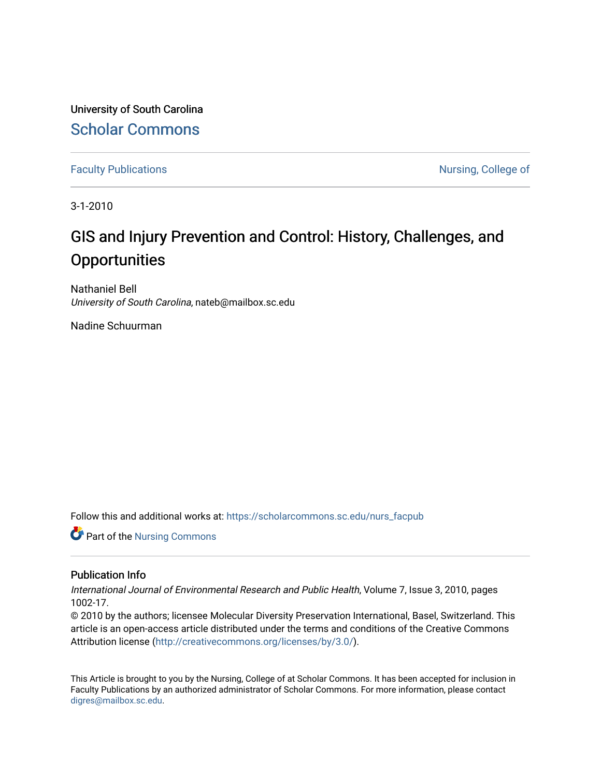University of South Carolina [Scholar Commons](https://scholarcommons.sc.edu/) 

[Faculty Publications](https://scholarcommons.sc.edu/nurs_facpub) **Nursing, College of**  $\blacksquare$ 

3-1-2010

# GIS and Injury Prevention and Control: History, Challenges, and **Opportunities**

Nathaniel Bell University of South Carolina, nateb@mailbox.sc.edu

Nadine Schuurman

Follow this and additional works at: [https://scholarcommons.sc.edu/nurs\\_facpub](https://scholarcommons.sc.edu/nurs_facpub?utm_source=scholarcommons.sc.edu%2Fnurs_facpub%2F20&utm_medium=PDF&utm_campaign=PDFCoverPages) 

**Part of the Nursing Commons** 

#### Publication Info

International Journal of Environmental Research and Public Health, Volume 7, Issue 3, 2010, pages 1002-17.

© 2010 by the authors; licensee Molecular Diversity Preservation International, Basel, Switzerland. This article is an open-access article distributed under the terms and conditions of the Creative Commons Attribution license (<http://creativecommons.org/licenses/by/3.0/>).

This Article is brought to you by the Nursing, College of at Scholar Commons. It has been accepted for inclusion in Faculty Publications by an authorized administrator of Scholar Commons. For more information, please contact [digres@mailbox.sc.edu](mailto:digres@mailbox.sc.edu).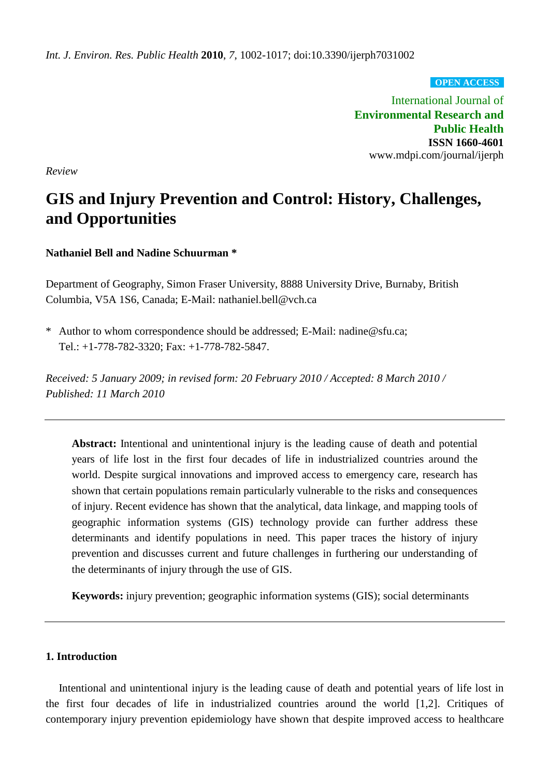**OPEN ACCESS**

International Journal of **Environmental Research and Public Health ISSN 1660-4601**  www.mdpi.com/journal/ijerph

*Review* 

# **GIS and Injury Prevention and Control: History, Challenges, and Opportunities**

# **Nathaniel Bell and Nadine Schuurman \***

Department of Geography, Simon Fraser University, 8888 University Drive, Burnaby, British Columbia, V5A 1S6, Canada; E-Mail: nathaniel.bell@vch.ca

\* Author to whom correspondence should be addressed; E-Mail: nadine@sfu.ca; Tel.: +1-778-782-3320; Fax: +1-778-782-5847.

*Received: 5 January 2009; in revised form: 20 February 2010 / Accepted: 8 March 2010 / Published: 11 March 2010* 

**Abstract:** Intentional and unintentional injury is the leading cause of death and potential years of life lost in the first four decades of life in industrialized countries around the world. Despite surgical innovations and improved access to emergency care, research has shown that certain populations remain particularly vulnerable to the risks and consequences of injury. Recent evidence has shown that the analytical, data linkage, and mapping tools of geographic information systems (GIS) technology provide can further address these determinants and identify populations in need. This paper traces the history of injury prevention and discusses current and future challenges in furthering our understanding of the determinants of injury through the use of GIS.

**Keywords:** injury prevention; geographic information systems (GIS); social determinants

# **1. Introduction**

Intentional and unintentional injury is the leading cause of death and potential years of life lost in the first four decades of life in industrialized countries around the world [1,2]. Critiques of contemporary injury prevention epidemiology have shown that despite improved access to healthcare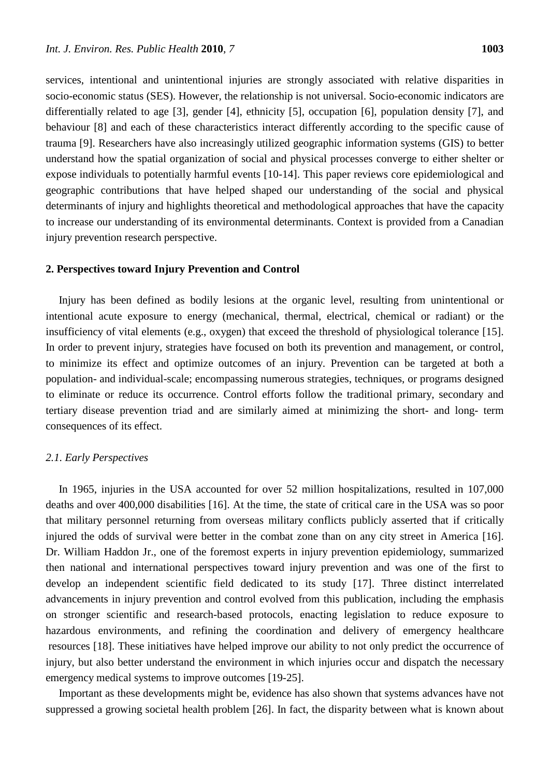services, intentional and unintentional injuries are strongly associated with relative disparities in socio-economic status (SES). However, the relationship is not universal. Socio-economic indicators are differentially related to age [3], gender [4], ethnicity [5], occupation [6], population density [7], and behaviour [8] and each of these characteristics interact differently according to the specific cause of trauma [9]. Researchers have also increasingly utilized geographic information systems (GIS) to better understand how the spatial organization of social and physical processes converge to either shelter or expose individuals to potentially harmful events [10-14]. This paper reviews core epidemiological and geographic contributions that have helped shaped our understanding of the social and physical determinants of injury and highlights theoretical and methodological approaches that have the capacity to increase our understanding of its environmental determinants. Context is provided from a Canadian injury prevention research perspective.

### **2. Perspectives toward Injury Prevention and Control**

Injury has been defined as bodily lesions at the organic level, resulting from unintentional or intentional acute exposure to energy (mechanical, thermal, electrical, chemical or radiant) or the insufficiency of vital elements (e.g., oxygen) that exceed the threshold of physiological tolerance [15]. In order to prevent injury, strategies have focused on both its prevention and management, or control, to minimize its effect and optimize outcomes of an injury. Prevention can be targeted at both a population- and individual-scale; encompassing numerous strategies, techniques, or programs designed to eliminate or reduce its occurrence. Control efforts follow the traditional primary, secondary and tertiary disease prevention triad and are similarly aimed at minimizing the short- and long- term consequences of its effect.

#### *2.1. Early Perspectives*

In 1965, injuries in the USA accounted for over 52 million hospitalizations, resulted in 107,000 deaths and over 400,000 disabilities [16]. At the time, the state of critical care in the USA was so poor that military personnel returning from overseas military conflicts publicly asserted that if critically injured the odds of survival were better in the combat zone than on any city street in America [16]. Dr. William Haddon Jr., one of the foremost experts in injury prevention epidemiology, summarized then national and international perspectives toward injury prevention and was one of the first to develop an independent scientific field dedicated to its study [17]. Three distinct interrelated advancements in injury prevention and control evolved from this publication, including the emphasis on stronger scientific and research-based protocols, enacting legislation to reduce exposure to hazardous environments, and refining the coordination and delivery of emergency healthcare resources [18]. These initiatives have helped improve our ability to not only predict the occurrence of injury, but also better understand the environment in which injuries occur and dispatch the necessary emergency medical systems to improve outcomes [19-25].

Important as these developments might be, evidence has also shown that systems advances have not suppressed a growing societal health problem [26]. In fact, the disparity between what is known about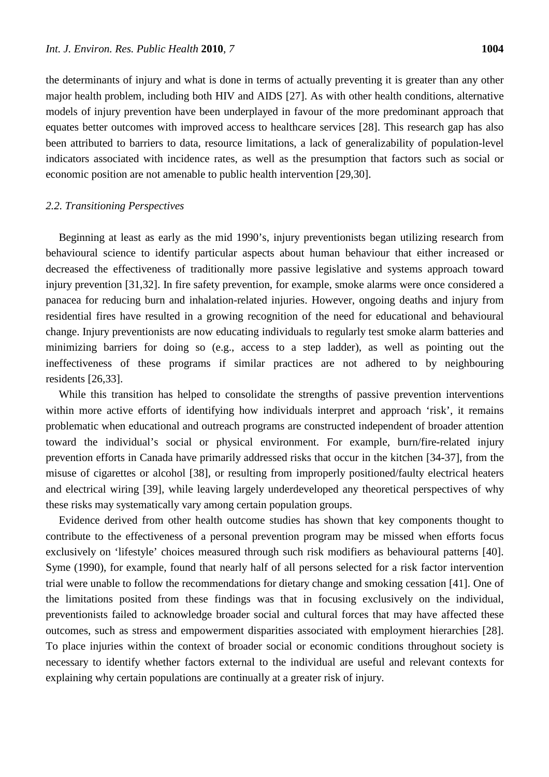the determinants of injury and what is done in terms of actually preventing it is greater than any other major health problem, including both HIV and AIDS [27]. As with other health conditions, alternative models of injury prevention have been underplayed in favour of the more predominant approach that equates better outcomes with improved access to healthcare services [28]. This research gap has also been attributed to barriers to data, resource limitations, a lack of generalizability of population-level indicators associated with incidence rates, as well as the presumption that factors such as social or economic position are not amenable to public health intervention [29,30].

#### *2.2. Transitioning Perspectives*

Beginning at least as early as the mid 1990's, injury preventionists began utilizing research from behavioural science to identify particular aspects about human behaviour that either increased or decreased the effectiveness of traditionally more passive legislative and systems approach toward injury prevention [31,32]. In fire safety prevention, for example, smoke alarms were once considered a panacea for reducing burn and inhalation-related injuries. However, ongoing deaths and injury from residential fires have resulted in a growing recognition of the need for educational and behavioural change. Injury preventionists are now educating individuals to regularly test smoke alarm batteries and minimizing barriers for doing so (e.g., access to a step ladder), as well as pointing out the ineffectiveness of these programs if similar practices are not adhered to by neighbouring residents [26,33].

While this transition has helped to consolidate the strengths of passive prevention interventions within more active efforts of identifying how individuals interpret and approach 'risk', it remains problematic when educational and outreach programs are constructed independent of broader attention toward the individual's social or physical environment. For example, burn/fire-related injury prevention efforts in Canada have primarily addressed risks that occur in the kitchen [34-37], from the misuse of cigarettes or alcohol [38], or resulting from improperly positioned/faulty electrical heaters and electrical wiring [39], while leaving largely underdeveloped any theoretical perspectives of why these risks may systematically vary among certain population groups.

Evidence derived from other health outcome studies has shown that key components thought to contribute to the effectiveness of a personal prevention program may be missed when efforts focus exclusively on 'lifestyle' choices measured through such risk modifiers as behavioural patterns [40]. Syme (1990), for example, found that nearly half of all persons selected for a risk factor intervention trial were unable to follow the recommendations for dietary change and smoking cessation [41]. One of the limitations posited from these findings was that in focusing exclusively on the individual, preventionists failed to acknowledge broader social and cultural forces that may have affected these outcomes, such as stress and empowerment disparities associated with employment hierarchies [28]. To place injuries within the context of broader social or economic conditions throughout society is necessary to identify whether factors external to the individual are useful and relevant contexts for explaining why certain populations are continually at a greater risk of injury.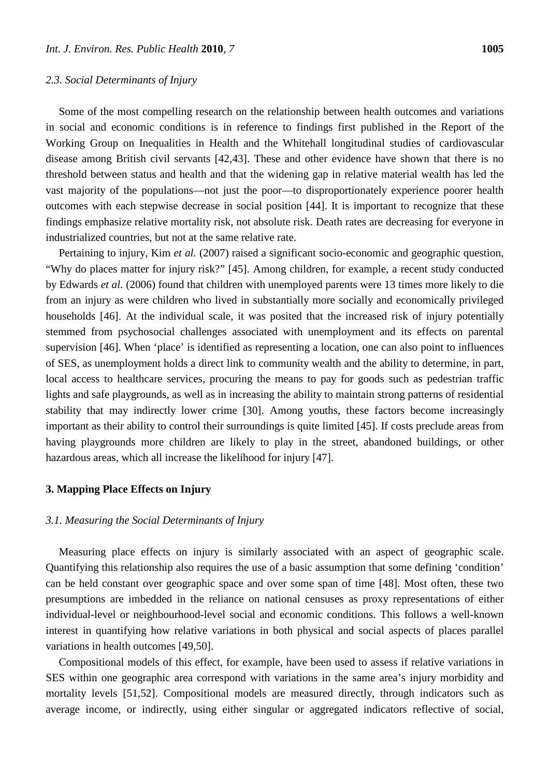Some of the most compelling research on the relationship between health outcomes and variations in social and economic conditions is in reference to findings first published in the Report of the Working Group on Inequalities in Health and the Whitehall longitudinal studies of cardiovascular disease among British civil servants [42,43]. These and other evidence have shown that there is no threshold between status and health and that the widening gap in relative material wealth has led the vast majority of the populations—not just the poor—to disproportionately experience poorer health outcomes with each stepwise decrease in social position [44]. It is important to recognize that these findings emphasize relative mortality risk, not absolute risk. Death rates are decreasing for everyone in industrialized countries, but not at the same relative rate.

Pertaining to injury, Kim *et al.* (2007) raised a significant socio-economic and geographic question, "Why do places matter for injury risk?" [45]. Among children, for example, a recent study conducted by Edwards *et al.* (2006) found that children with unemployed parents were 13 times more likely to die from an injury as were children who lived in substantially more socially and economically privileged households [46]. At the individual scale, it was posited that the increased risk of injury potentially stemmed from psychosocial challenges associated with unemployment and its effects on parental supervision [46]. When 'place' is identified as representing a location, one can also point to influences of SES, as unemployment holds a direct link to community wealth and the ability to determine, in part, local access to healthcare services, procuring the means to pay for goods such as pedestrian traffic lights and safe playgrounds, as well as in increasing the ability to maintain strong patterns of residential stability that may indirectly lower crime [30]. Among youths, these factors become increasingly important as their ability to control their surroundings is quite limited [45]. If costs preclude areas from having playgrounds more children are likely to play in the street, abandoned buildings, or other hazardous areas, which all increase the likelihood for injury [47].

### **3. Mapping Place Effects on Injury**

### *3.1. Measuring the Social Determinants of Injury*

Measuring place effects on injury is similarly associated with an aspect of geographic scale. Quantifying this relationship also requires the use of a basic assumption that some defining 'condition' can be held constant over geographic space and over some span of time [48]. Most often, these two presumptions are imbedded in the reliance on national censuses as proxy representations of either individual-level or neighbourhood-level social and economic conditions. This follows a well-known interest in quantifying how relative variations in both physical and social aspects of places parallel variations in health outcomes [49,50].

Compositional models of this effect, for example, have been used to assess if relative variations in SES within one geographic area correspond with variations in the same area's injury morbidity and mortality levels [51,52]. Compositional models are measured directly, through indicators such as average income, or indirectly, using either singular or aggregated indicators reflective of social,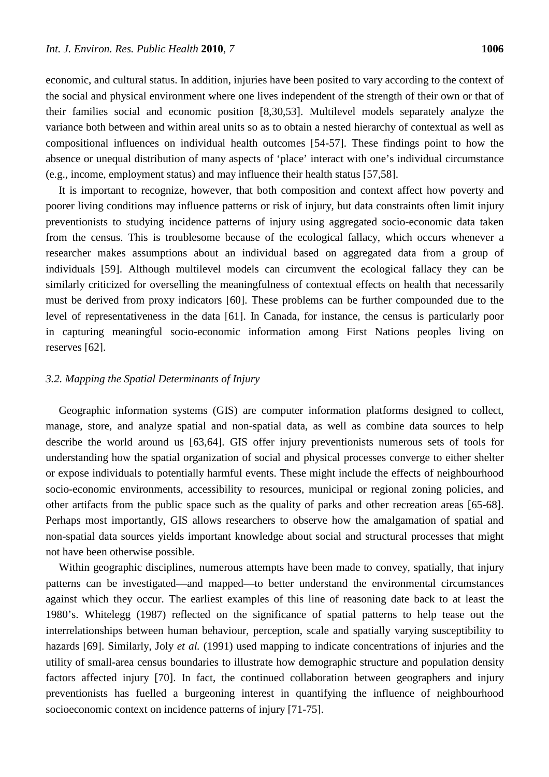economic, and cultural status. In addition, injuries have been posited to vary according to the context of the social and physical environment where one lives independent of the strength of their own or that of their families social and economic position [8,30,53]. Multilevel models separately analyze the variance both between and within areal units so as to obtain a nested hierarchy of contextual as well as compositional influences on individual health outcomes [54-57]. These findings point to how the absence or unequal distribution of many aspects of 'place' interact with one's individual circumstance (e.g., income, employment status) and may influence their health status [57,58].

It is important to recognize, however, that both composition and context affect how poverty and poorer living conditions may influence patterns or risk of injury, but data constraints often limit injury preventionists to studying incidence patterns of injury using aggregated socio-economic data taken from the census. This is troublesome because of the ecological fallacy, which occurs whenever a researcher makes assumptions about an individual based on aggregated data from a group of individuals [59]. Although multilevel models can circumvent the ecological fallacy they can be similarly criticized for overselling the meaningfulness of contextual effects on health that necessarily must be derived from proxy indicators [60]. These problems can be further compounded due to the level of representativeness in the data [61]. In Canada, for instance, the census is particularly poor in capturing meaningful socio-economic information among First Nations peoples living on reserves [62].

# *3.2. Mapping the Spatial Determinants of Injury*

Geographic information systems (GIS) are computer information platforms designed to collect, manage, store, and analyze spatial and non-spatial data, as well as combine data sources to help describe the world around us [63,64]. GIS offer injury preventionists numerous sets of tools for understanding how the spatial organization of social and physical processes converge to either shelter or expose individuals to potentially harmful events. These might include the effects of neighbourhood socio-economic environments, accessibility to resources, municipal or regional zoning policies, and other artifacts from the public space such as the quality of parks and other recreation areas [65-68]. Perhaps most importantly, GIS allows researchers to observe how the amalgamation of spatial and non-spatial data sources yields important knowledge about social and structural processes that might not have been otherwise possible.

Within geographic disciplines, numerous attempts have been made to convey, spatially, that injury patterns can be investigated—and mapped—to better understand the environmental circumstances against which they occur. The earliest examples of this line of reasoning date back to at least the 1980's. Whitelegg (1987) reflected on the significance of spatial patterns to help tease out the interrelationships between human behaviour, perception, scale and spatially varying susceptibility to hazards [69]. Similarly, Joly *et al.* (1991) used mapping to indicate concentrations of injuries and the utility of small-area census boundaries to illustrate how demographic structure and population density factors affected injury [70]. In fact, the continued collaboration between geographers and injury preventionists has fuelled a burgeoning interest in quantifying the influence of neighbourhood socioeconomic context on incidence patterns of injury [71-75].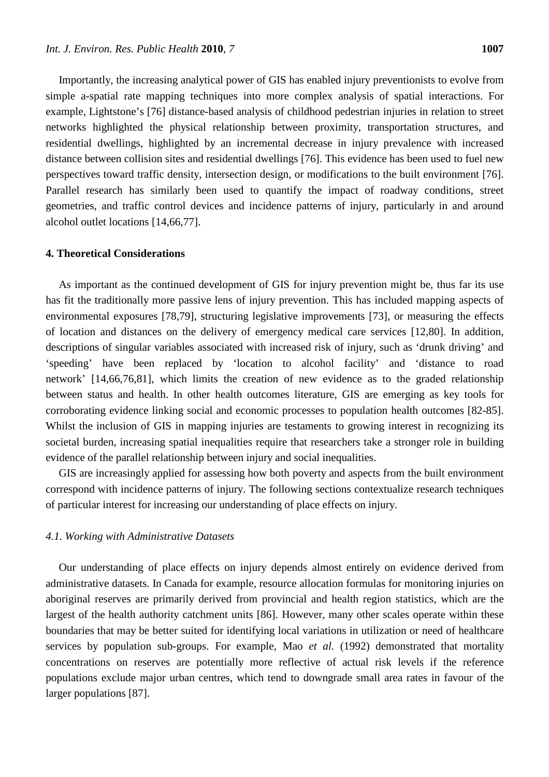Importantly, the increasing analytical power of GIS has enabled injury preventionists to evolve from simple a-spatial rate mapping techniques into more complex analysis of spatial interactions. For example, Lightstone's [76] distance-based analysis of childhood pedestrian injuries in relation to street networks highlighted the physical relationship between proximity, transportation structures, and residential dwellings, highlighted by an incremental decrease in injury prevalence with increased distance between collision sites and residential dwellings [76]. This evidence has been used to fuel new perspectives toward traffic density, intersection design, or modifications to the built environment [76]. Parallel research has similarly been used to quantify the impact of roadway conditions, street geometries, and traffic control devices and incidence patterns of injury, particularly in and around alcohol outlet locations [14,66,77].

## **4. Theoretical Considerations**

As important as the continued development of GIS for injury prevention might be, thus far its use has fit the traditionally more passive lens of injury prevention. This has included mapping aspects of environmental exposures [78,79], structuring legislative improvements [73], or measuring the effects of location and distances on the delivery of emergency medical care services [12,80]. In addition, descriptions of singular variables associated with increased risk of injury, such as 'drunk driving' and 'speeding' have been replaced by 'location to alcohol facility' and 'distance to road network' [14,66,76,81], which limits the creation of new evidence as to the graded relationship between status and health. In other health outcomes literature, GIS are emerging as key tools for corroborating evidence linking social and economic processes to population health outcomes [82-85]. Whilst the inclusion of GIS in mapping injuries are testaments to growing interest in recognizing its societal burden, increasing spatial inequalities require that researchers take a stronger role in building evidence of the parallel relationship between injury and social inequalities.

GIS are increasingly applied for assessing how both poverty and aspects from the built environment correspond with incidence patterns of injury. The following sections contextualize research techniques of particular interest for increasing our understanding of place effects on injury.

#### *4.1. Working with Administrative Datasets*

Our understanding of place effects on injury depends almost entirely on evidence derived from administrative datasets. In Canada for example, resource allocation formulas for monitoring injuries on aboriginal reserves are primarily derived from provincial and health region statistics, which are the largest of the health authority catchment units [86]. However, many other scales operate within these boundaries that may be better suited for identifying local variations in utilization or need of healthcare services by population sub-groups. For example, Mao *et al.* (1992) demonstrated that mortality concentrations on reserves are potentially more reflective of actual risk levels if the reference populations exclude major urban centres, which tend to downgrade small area rates in favour of the larger populations [87].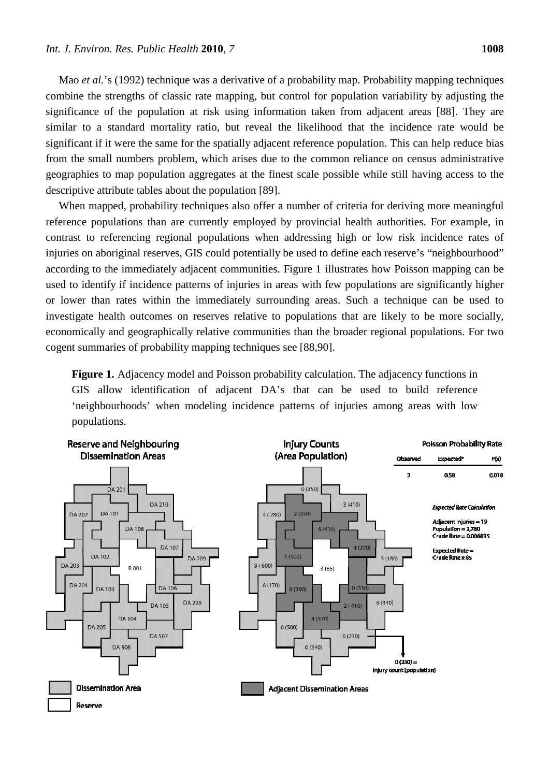Mao *et al.*'s (1992) technique was a derivative of a probability map. Probability mapping techniques combine the strengths of classic rate mapping, but control for population variability by adjusting the significance of the population at risk using information taken from adjacent areas [88]. They are similar to a standard mortality ratio, but reveal the likelihood that the incidence rate would be significant if it were the same for the spatially adjacent reference population. This can help reduce bias from the small numbers problem, which arises due to the common reliance on census administrative geographies to map population aggregates at the finest scale possible while still having access to the descriptive attribute tables about the population [89].

When mapped, probability techniques also offer a number of criteria for deriving more meaningful reference populations than are currently employed by provincial health authorities. For example, in contrast to referencing regional populations when addressing high or low risk incidence rates of injuries on aboriginal reserves, GIS could potentially be used to define each reserve's "neighbourhood" according to the immediately adjacent communities. Figure 1 illustrates how Poisson mapping can be used to identify if incidence patterns of injuries in areas with few populations are significantly higher or lower than rates within the immediately surrounding areas. Such a technique can be used to investigate health outcomes on reserves relative to populations that are likely to be more socially, economically and geographically relative communities than the broader regional populations. For two cogent summaries of probability mapping techniques see [88,90].

**Figure 1.** Adjacency model and Poisson probability calculation. The adjacency functions in GIS allow identification of adjacent DA's that can be used to build reference 'neighbourhoods' when modeling incidence patterns of injuries among areas with low populations.

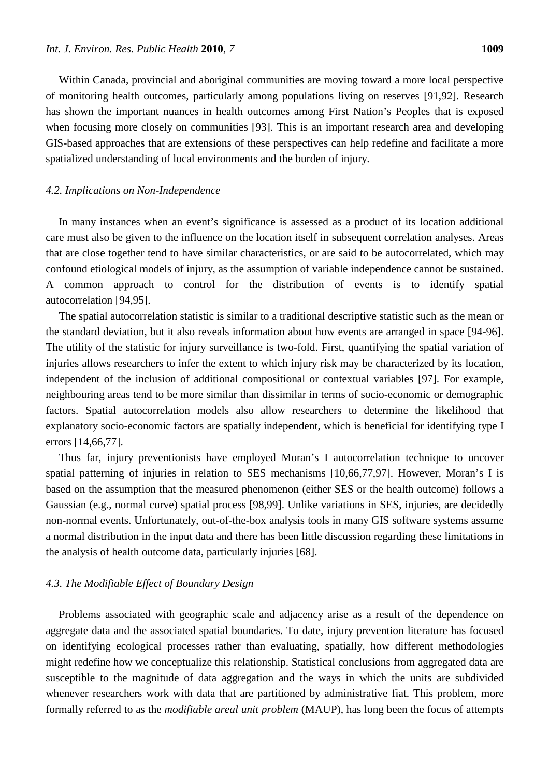Within Canada, provincial and aboriginal communities are moving toward a more local perspective of monitoring health outcomes, particularly among populations living on reserves [91,92]. Research has shown the important nuances in health outcomes among First Nation's Peoples that is exposed when focusing more closely on communities [93]. This is an important research area and developing GIS-based approaches that are extensions of these perspectives can help redefine and facilitate a more spatialized understanding of local environments and the burden of injury.

#### *4.2. Implications on Non-Independence*

In many instances when an event's significance is assessed as a product of its location additional care must also be given to the influence on the location itself in subsequent correlation analyses. Areas that are close together tend to have similar characteristics, or are said to be autocorrelated, which may confound etiological models of injury, as the assumption of variable independence cannot be sustained. A common approach to control for the distribution of events is to identify spatial autocorrelation [94,95].

The spatial autocorrelation statistic is similar to a traditional descriptive statistic such as the mean or the standard deviation, but it also reveals information about how events are arranged in space [94-96]. The utility of the statistic for injury surveillance is two-fold. First, quantifying the spatial variation of injuries allows researchers to infer the extent to which injury risk may be characterized by its location, independent of the inclusion of additional compositional or contextual variables [97]. For example, neighbouring areas tend to be more similar than dissimilar in terms of socio-economic or demographic factors. Spatial autocorrelation models also allow researchers to determine the likelihood that explanatory socio-economic factors are spatially independent, which is beneficial for identifying type I errors [14,66,77].

Thus far, injury preventionists have employed Moran's I autocorrelation technique to uncover spatial patterning of injuries in relation to SES mechanisms [10,66,77,97]. However, Moran's I is based on the assumption that the measured phenomenon (either SES or the health outcome) follows a Gaussian (e.g., normal curve) spatial process [98,99]. Unlike variations in SES, injuries, are decidedly non-normal events. Unfortunately, out-of-the-box analysis tools in many GIS software systems assume a normal distribution in the input data and there has been little discussion regarding these limitations in the analysis of health outcome data, particularly injuries [68].

### *4.3. The Modifiable Effect of Boundary Design*

Problems associated with geographic scale and adjacency arise as a result of the dependence on aggregate data and the associated spatial boundaries. To date, injury prevention literature has focused on identifying ecological processes rather than evaluating, spatially, how different methodologies might redefine how we conceptualize this relationship. Statistical conclusions from aggregated data are susceptible to the magnitude of data aggregation and the ways in which the units are subdivided whenever researchers work with data that are partitioned by administrative fiat. This problem, more formally referred to as the *modifiable areal unit problem* (MAUP), has long been the focus of attempts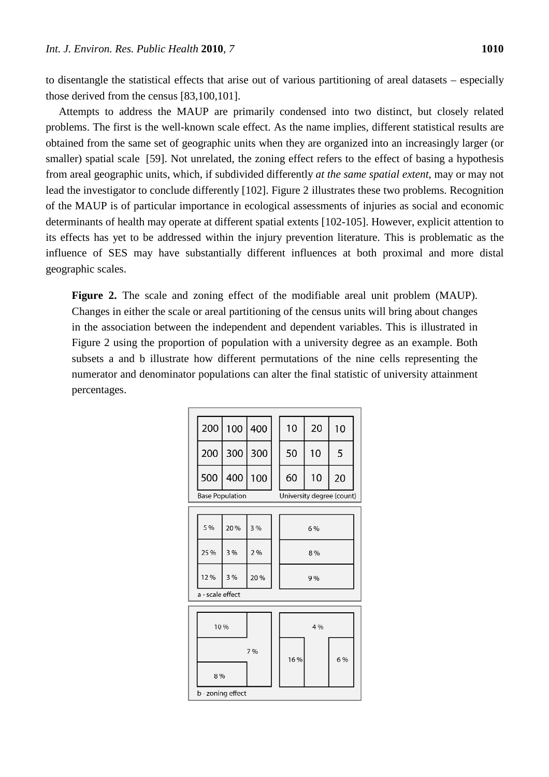to disentangle the statistical effects that arise out of various partitioning of areal datasets – especially those derived from the census [83,100,101].

Attempts to address the MAUP are primarily condensed into two distinct, but closely related problems. The first is the well-known scale effect. As the name implies, different statistical results are obtained from the same set of geographic units when they are organized into an increasingly larger (or smaller) spatial scale [59]. Not unrelated, the zoning effect refers to the effect of basing a hypothesis from areal geographic units, which, if subdivided differently *at the same spatial extent*, may or may not lead the investigator to conclude differently [102]. Figure 2 illustrates these two problems. Recognition of the MAUP is of particular importance in ecological assessments of injuries as social and economic determinants of health may operate at different spatial extents [102-105]. However, explicit attention to its effects has yet to be addressed within the injury prevention literature. This is problematic as the influence of SES may have substantially different influences at both proximal and more distal geographic scales.

Figure 2. The scale and zoning effect of the modifiable areal unit problem (MAUP). Changes in either the scale or areal partitioning of the census units will bring about changes in the association between the independent and dependent variables. This is illustrated in Figure 2 using the proportion of population with a university degree as an example. Both subsets a and b illustrate how different permutations of the nine cells representing the numerator and denominator populations can alter the final statistic of university attainment percentages.

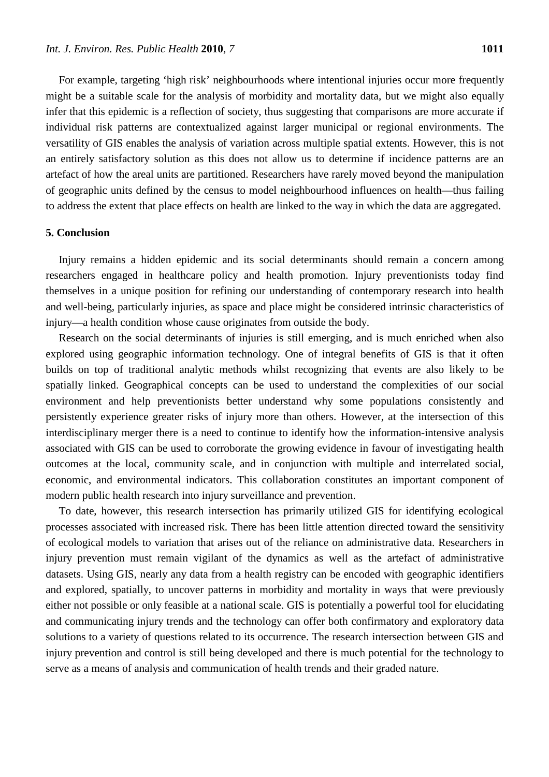For example, targeting 'high risk' neighbourhoods where intentional injuries occur more frequently might be a suitable scale for the analysis of morbidity and mortality data, but we might also equally infer that this epidemic is a reflection of society, thus suggesting that comparisons are more accurate if individual risk patterns are contextualized against larger municipal or regional environments. The versatility of GIS enables the analysis of variation across multiple spatial extents. However, this is not an entirely satisfactory solution as this does not allow us to determine if incidence patterns are an artefact of how the areal units are partitioned. Researchers have rarely moved beyond the manipulation of geographic units defined by the census to model neighbourhood influences on health—thus failing to address the extent that place effects on health are linked to the way in which the data are aggregated.

#### **5. Conclusion**

Injury remains a hidden epidemic and its social determinants should remain a concern among researchers engaged in healthcare policy and health promotion. Injury preventionists today find themselves in a unique position for refining our understanding of contemporary research into health and well-being, particularly injuries, as space and place might be considered intrinsic characteristics of injury—a health condition whose cause originates from outside the body.

Research on the social determinants of injuries is still emerging, and is much enriched when also explored using geographic information technology. One of integral benefits of GIS is that it often builds on top of traditional analytic methods whilst recognizing that events are also likely to be spatially linked. Geographical concepts can be used to understand the complexities of our social environment and help preventionists better understand why some populations consistently and persistently experience greater risks of injury more than others. However, at the intersection of this interdisciplinary merger there is a need to continue to identify how the information-intensive analysis associated with GIS can be used to corroborate the growing evidence in favour of investigating health outcomes at the local, community scale, and in conjunction with multiple and interrelated social, economic, and environmental indicators. This collaboration constitutes an important component of modern public health research into injury surveillance and prevention.

To date, however, this research intersection has primarily utilized GIS for identifying ecological processes associated with increased risk. There has been little attention directed toward the sensitivity of ecological models to variation that arises out of the reliance on administrative data. Researchers in injury prevention must remain vigilant of the dynamics as well as the artefact of administrative datasets. Using GIS, nearly any data from a health registry can be encoded with geographic identifiers and explored, spatially, to uncover patterns in morbidity and mortality in ways that were previously either not possible or only feasible at a national scale. GIS is potentially a powerful tool for elucidating and communicating injury trends and the technology can offer both confirmatory and exploratory data solutions to a variety of questions related to its occurrence. The research intersection between GIS and injury prevention and control is still being developed and there is much potential for the technology to serve as a means of analysis and communication of health trends and their graded nature.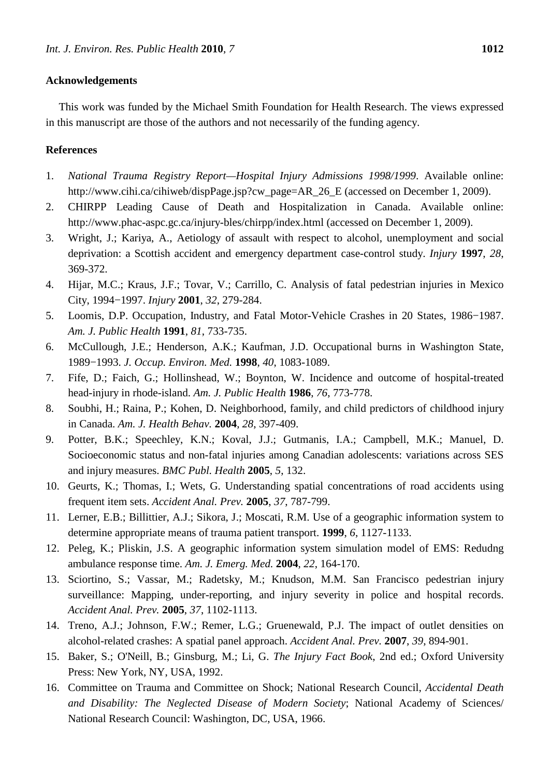## **Acknowledgements**

This work was funded by the Michael Smith Foundation for Health Research. The views expressed in this manuscript are those of the authors and not necessarily of the funding agency.

## **References**

- 1. *National Trauma Registry Report—Hospital Injury Admissions 1998/1999*. Available online: http://www.cihi.ca/cihiweb/dispPage.jsp?cw\_page=AR\_26\_E (accessed on December 1, 2009).
- 2. CHIRPP Leading Cause of Death and Hospitalization in Canada. Available online: http://www.phac-aspc.gc.ca/injury-bles/chirpp/index.html (accessed on December 1, 2009).
- 3. Wright, J.; Kariya, A., Aetiology of assault with respect to alcohol, unemployment and social deprivation: a Scottish accident and emergency department case-control study. *Injury* **1997**, *28*, 369-372.
- 4. Hijar, M.C.; Kraus, J.F.; Tovar, V.; Carrillo, C. Analysis of fatal pedestrian injuries in Mexico City, 1994−1997. *Injury* **2001**, *32*, 279-284.
- 5. Loomis, D.P. Occupation, Industry, and Fatal Motor-Vehicle Crashes in 20 States, 1986−1987. *Am. J. Public Health* **1991**, *81*, 733-735.
- 6. McCullough, J.E.; Henderson, A.K.; Kaufman, J.D. Occupational burns in Washington State, 1989−1993. *J. Occup. Environ. Med.* **1998**, *40*, 1083-1089.
- 7. Fife, D.; Faich, G.; Hollinshead, W.; Boynton, W. Incidence and outcome of hospital-treated head-injury in rhode-island. *Am. J. Public Health* **1986**, *76*, 773-778.
- 8. Soubhi, H.; Raina, P.; Kohen, D. Neighborhood, family, and child predictors of childhood injury in Canada. *Am. J. Health Behav.* **2004**, *28*, 397-409.
- 9. Potter, B.K.; Speechley, K.N.; Koval, J.J.; Gutmanis, I.A.; Campbell, M.K.; Manuel, D. Socioeconomic status and non-fatal injuries among Canadian adolescents: variations across SES and injury measures. *BMC Publ. Health* **2005**, *5*, 132.
- 10. Geurts, K.; Thomas, I.; Wets, G. Understanding spatial concentrations of road accidents using frequent item sets. *Accident Anal. Prev.* **2005**, *37*, 787-799.
- 11. Lerner, E.B.; Billittier, A.J.; Sikora, J.; Moscati, R.M. Use of a geographic information system to determine appropriate means of trauma patient transport. **1999**, *6*, 1127-1133.
- 12. Peleg, K.; Pliskin, J.S. A geographic information system simulation model of EMS: Redudng ambulance response time. *Am. J. Emerg. Med.* **2004**, *22*, 164-170.
- 13. Sciortino, S.; Vassar, M.; Radetsky, M.; Knudson, M.M. San Francisco pedestrian injury surveillance: Mapping, under-reporting, and injury severity in police and hospital records. *Accident Anal. Prev.* **2005**, *37*, 1102-1113.
- 14. Treno, A.J.; Johnson, F.W.; Remer, L.G.; Gruenewald, P.J. The impact of outlet densities on alcohol-related crashes: A spatial panel approach. *Accident Anal. Prev.* **2007**, *39*, 894-901.
- 15. Baker, S.; O'Neill, B.; Ginsburg, M.; Li, G. *The Injury Fact Book*, 2nd ed.; Oxford University Press: New York, NY, USA, 1992.
- 16. Committee on Trauma and Committee on Shock; National Research Council, *Accidental Death and Disability: The Neglected Disease of Modern Society*; National Academy of Sciences/ National Research Council: Washington, DC, USA, 1966.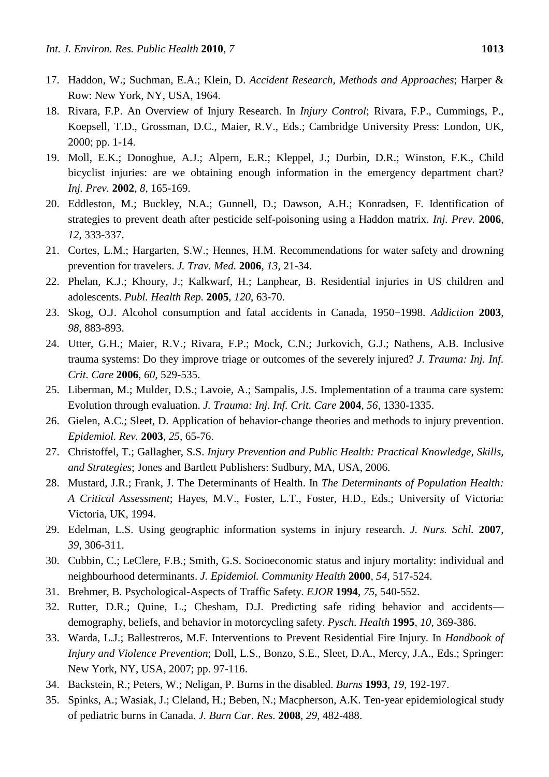- 17. Haddon, W.; Suchman, E.A.; Klein, D. *Accident Research, Methods and Approaches*; Harper & Row: New York, NY, USA, 1964.
- 18. Rivara, F.P. An Overview of Injury Research. In *Injury Control*; Rivara, F.P., Cummings, P., Koepsell, T.D., Grossman, D.C., Maier, R.V., Eds.; Cambridge University Press: London, UK, 2000; pp. 1-14.
- 19. Moll, E.K.; Donoghue, A.J.; Alpern, E.R.; Kleppel, J.; Durbin, D.R.; Winston, F.K., Child bicyclist injuries: are we obtaining enough information in the emergency department chart? *Inj. Prev.* **2002**, *8*, 165-169.
- 20. Eddleston, M.; Buckley, N.A.; Gunnell, D.; Dawson, A.H.; Konradsen, F. Identification of strategies to prevent death after pesticide self-poisoning using a Haddon matrix. *Inj. Prev.* **2006**, *12*, 333-337.
- 21. Cortes, L.M.; Hargarten, S.W.; Hennes, H.M. Recommendations for water safety and drowning prevention for travelers. *J. Trav. Med.* **2006**, *13*, 21-34.
- 22. Phelan, K.J.; Khoury, J.; Kalkwarf, H.; Lanphear, B. Residential injuries in US children and adolescents. *Publ. Health Rep.* **2005**, *120*, 63-70.
- 23. Skog, O.J. Alcohol consumption and fatal accidents in Canada, 1950−1998. *Addiction* **2003**, *98*, 883-893.
- 24. Utter, G.H.; Maier, R.V.; Rivara, F.P.; Mock, C.N.; Jurkovich, G.J.; Nathens, A.B. Inclusive trauma systems: Do they improve triage or outcomes of the severely injured? *J. Trauma: Inj. Inf. Crit. Care* **2006**, *60*, 529-535.
- 25. Liberman, M.; Mulder, D.S.; Lavoie, A.; Sampalis, J.S. Implementation of a trauma care system: Evolution through evaluation. *J. Trauma: Inj. Inf. Crit. Care* **2004**, *56*, 1330-1335.
- 26. Gielen, A.C.; Sleet, D. Application of behavior-change theories and methods to injury prevention. *Epidemiol. Rev.* **2003**, *25*, 65-76.
- 27. Christoffel, T.; Gallagher, S.S. *Injury Prevention and Public Health: Practical Knowledge, Skills, and Strategies*; Jones and Bartlett Publishers: Sudbury, MA, USA, 2006.
- 28. Mustard, J.R.; Frank, J. The Determinants of Health. In *The Determinants of Population Health: A Critical Assessment*; Hayes, M.V., Foster, L.T., Foster, H.D., Eds.; University of Victoria: Victoria, UK, 1994.
- 29. Edelman, L.S. Using geographic information systems in injury research. *J. Nurs. Schl.* **2007**, *39*, 306-311.
- 30. Cubbin, C.; LeClere, F.B.; Smith, G.S. Socioeconomic status and injury mortality: individual and neighbourhood determinants. *J. Epidemiol. Community Health* **2000**, *54*, 517-524.
- 31. Brehmer, B. Psychological-Aspects of Traffic Safety. *EJOR* **1994**, *75*, 540-552.
- 32. Rutter, D.R.; Quine, L.; Chesham, D.J. Predicting safe riding behavior and accidents demography, beliefs, and behavior in motorcycling safety. *Pysch. Health* **1995**, *10*, 369-386.
- 33. Warda, L.J.; Ballestreros, M.F. Interventions to Prevent Residential Fire Injury. In *Handbook of Injury and Violence Prevention*; Doll, L.S., Bonzo, S.E., Sleet, D.A., Mercy, J.A., Eds.; Springer: New York, NY, USA, 2007; pp. 97-116.
- 34. Backstein, R.; Peters, W.; Neligan, P. Burns in the disabled. *Burns* **1993**, *19*, 192-197.
- 35. Spinks, A.; Wasiak, J.; Cleland, H.; Beben, N.; Macpherson, A.K. Ten-year epidemiological study of pediatric burns in Canada. *J. Burn Car. Res.* **2008**, *29*, 482-488.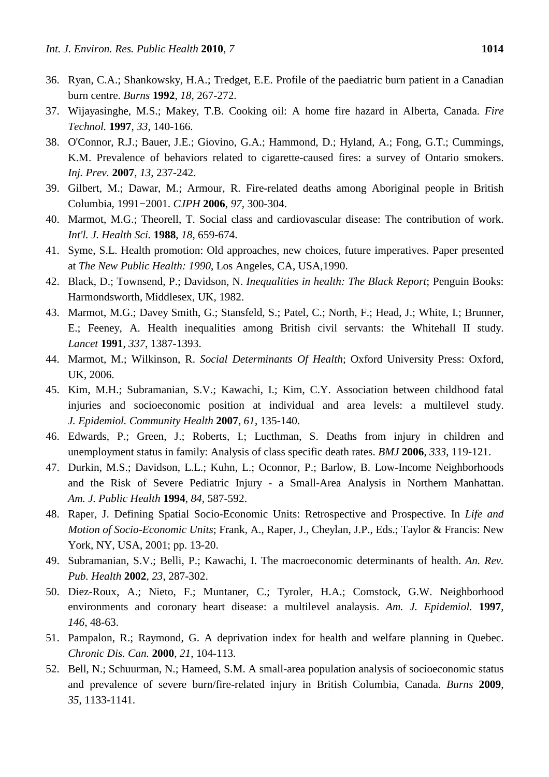- 36. Ryan, C.A.; Shankowsky, H.A.; Tredget, E.E. Profile of the paediatric burn patient in a Canadian burn centre. *Burns* **1992**, *18*, 267-272.
- 37. Wijayasinghe, M.S.; Makey, T.B. Cooking oil: A home fire hazard in Alberta, Canada. *Fire Technol.* **1997**, *33*, 140-166.
- 38. O'Connor, R.J.; Bauer, J.E.; Giovino, G.A.; Hammond, D.; Hyland, A.; Fong, G.T.; Cummings, K.M. Prevalence of behaviors related to cigarette-caused fires: a survey of Ontario smokers. *Inj. Prev.* **2007**, *13*, 237-242.
- 39. Gilbert, M.; Dawar, M.; Armour, R. Fire-related deaths among Aboriginal people in British Columbia, 1991−2001. *CJPH* **2006**, *97*, 300-304.
- 40. Marmot, M.G.; Theorell, T. Social class and cardiovascular disease: The contribution of work. *Int'l. J. Health Sci.* **1988**, *18*, 659-674.
- 41. Syme, S.L. Health promotion: Old approaches, new choices, future imperatives. Paper presented at *The New Public Health: 1990*, Los Angeles, CA, USA,1990.
- 42. Black, D.; Townsend, P.; Davidson, N. *Inequalities in health: The Black Report*; Penguin Books: Harmondsworth, Middlesex, UK, 1982.
- 43. Marmot, M.G.; Davey Smith, G.; Stansfeld, S.; Patel, C.; North, F.; Head, J.; White, I.; Brunner, E.; Feeney, A. Health inequalities among British civil servants: the Whitehall II study. *Lancet* **1991**, *337*, 1387-1393.
- 44. Marmot, M.; Wilkinson, R. *Social Determinants Of Health*; Oxford University Press: Oxford, UK, 2006.
- 45. Kim, M.H.; Subramanian, S.V.; Kawachi, I.; Kim, C.Y. Association between childhood fatal injuries and socioeconomic position at individual and area levels: a multilevel study. *J. Epidemiol. Community Health* **2007**, *61*, 135-140.
- 46. Edwards, P.; Green, J.; Roberts, I.; Lucthman, S. Deaths from injury in children and unemployment status in family: Analysis of class specific death rates. *BMJ* **2006**, *333*, 119-121.
- 47. Durkin, M.S.; Davidson, L.L.; Kuhn, L.; Oconnor, P.; Barlow, B. Low-Income Neighborhoods and the Risk of Severe Pediatric Injury - a Small-Area Analysis in Northern Manhattan. *Am. J. Public Health* **1994**, *84*, 587-592.
- 48. Raper, J. Defining Spatial Socio-Economic Units: Retrospective and Prospective. In *Life and Motion of Socio-Economic Units*; Frank, A., Raper, J., Cheylan, J.P., Eds.; Taylor & Francis: New York, NY, USA, 2001; pp. 13-20.
- 49. Subramanian, S.V.; Belli, P.; Kawachi, I. The macroeconomic determinants of health. *An. Rev. Pub. Health* **2002**, *23*, 287-302.
- 50. Diez-Roux, A.; Nieto, F.; Muntaner, C.; Tyroler, H.A.; Comstock, G.W. Neighborhood environments and coronary heart disease: a multilevel analaysis. *Am. J. Epidemiol.* **1997**, *146*, 48-63.
- 51. Pampalon, R.; Raymond, G. A deprivation index for health and welfare planning in Quebec. *Chronic Dis. Can.* **2000**, *21*, 104-113.
- 52. Bell, N.; Schuurman, N.; Hameed, S.M. A small-area population analysis of socioeconomic status and prevalence of severe burn/fire-related injury in British Columbia, Canada. *Burns* **2009**, *35*, 1133-1141.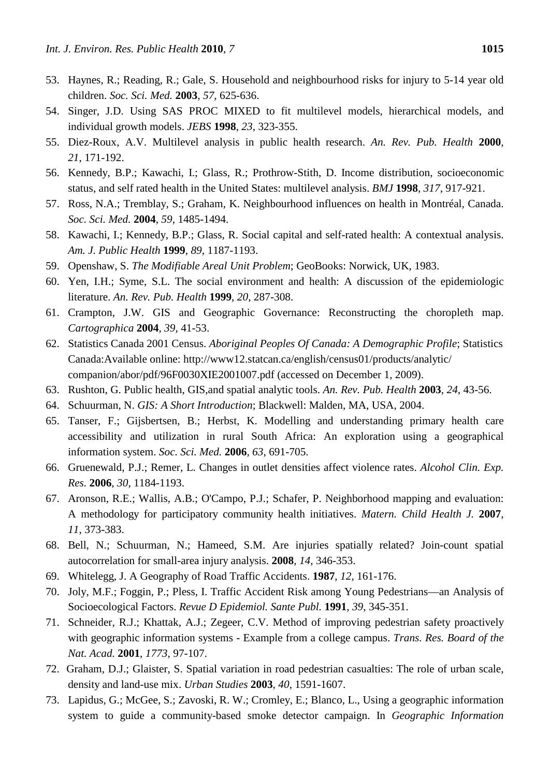- 53. Haynes, R.; Reading, R.; Gale, S. Household and neighbourhood risks for injury to 5-14 year old children. *Soc. Sci. Med.* **2003**, *57*, 625-636.
- 54. Singer, J.D. Using SAS PROC MIXED to fit multilevel models, hierarchical models, and individual growth models. *JEBS* **1998**, *23*, 323-355.
- 55. Diez-Roux, A.V. Multilevel analysis in public health research. *An. Rev. Pub. Health* **2000**, *21*, 171-192.
- 56. Kennedy, B.P.; Kawachi, I.; Glass, R.; Prothrow-Stith, D. Income distribution, socioeconomic status, and self rated health in the United States: multilevel analysis. *BMJ* **1998**, *317*, 917-921.
- 57. Ross, N.A.; Tremblay, S.; Graham, K. Neighbourhood influences on health in Montréal, Canada. *Soc. Sci. Med.* **2004**, *59*, 1485-1494.
- 58. Kawachi, I.; Kennedy, B.P.; Glass, R. Social capital and self-rated health: A contextual analysis. *Am. J. Public Health* **1999**, *89*, 1187-1193.
- 59. Openshaw, S. *The Modifiable Areal Unit Problem*; GeoBooks: Norwick, UK, 1983.
- 60. Yen, I.H.; Syme, S.L. The social environment and health: A discussion of the epidemiologic literature. *An. Rev. Pub. Health* **1999**, *20*, 287-308.
- 61. Crampton, J.W. GIS and Geographic Governance: Reconstructing the choropleth map. *Cartographica* **2004**, *39*, 41-53.
- 62. Statistics Canada 2001 Census. *Aboriginal Peoples Of Canada: A Demographic Profile*; Statistics Canada:Available online: http://www12.statcan.ca/english/census01/products/analytic/ companion/abor/pdf/96F0030XIE2001007.pdf (accessed on December 1, 2009).
- 63. Rushton, G. Public health, GIS,and spatial analytic tools. *An. Rev. Pub. Health* **2003**, *24*, 43-56.
- 64. Schuurman, N. *GIS: A Short Introduction*; Blackwell: Malden, MA, USA, 2004.
- 65. Tanser, F.; Gijsbertsen, B.; Herbst, K. Modelling and understanding primary health care accessibility and utilization in rural South Africa: An exploration using a geographical information system. *Soc. Sci. Med.* **2006**, *63*, 691-705.
- 66. Gruenewald, P.J.; Remer, L. Changes in outlet densities affect violence rates. *Alcohol Clin. Exp. Res.* **2006**, *30*, 1184-1193.
- 67. Aronson, R.E.; Wallis, A.B.; O'Campo, P.J.; Schafer, P. Neighborhood mapping and evaluation: A methodology for participatory community health initiatives. *Matern. Child Health J.* **2007**, *11*, 373-383.
- 68. Bell, N.; Schuurman, N.; Hameed, S.M. Are injuries spatially related? Join-count spatial autocorrelation for small-area injury analysis. **2008**, *14*, 346-353.
- 69. Whitelegg, J. A Geography of Road Traffic Accidents. **1987**, *12*, 161-176.
- 70. Joly, M.F.; Foggin, P.; Pless, I. Traffic Accident Risk among Young Pedestrians—an Analysis of Socioecological Factors. *Revue D Epidemiol. Sante Publ.* **1991**, *39*, 345-351.
- 71. Schneider, R.J.; Khattak, A.J.; Zegeer, C.V. Method of improving pedestrian safety proactively with geographic information systems - Example from a college campus. *Trans. Res. Board of the Nat. Acad.* **2001**, *1773*, 97-107.
- 72. Graham, D.J.; Glaister, S. Spatial variation in road pedestrian casualties: The role of urban scale, density and land-use mix. *Urban Studies* **2003**, *40*, 1591-1607.
- 73. Lapidus, G.; McGee, S.; Zavoski, R. W.; Cromley, E.; Blanco, L., Using a geographic information system to guide a community-based smoke detector campaign. In *Geographic Information*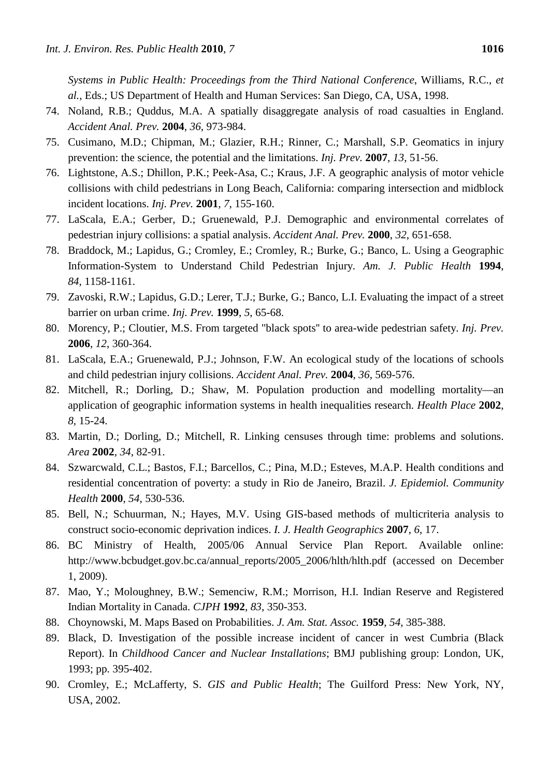*Systems in Public Health: Proceedings from the Third National Conference*, Williams, R.C., *et al.*, Eds.; US Department of Health and Human Services: San Diego, CA, USA, 1998.

- 74. Noland, R.B.; Quddus, M.A. A spatially disaggregate analysis of road casualties in England. *Accident Anal. Prev.* **2004**, *36*, 973-984.
- 75. Cusimano, M.D.; Chipman, M.; Glazier, R.H.; Rinner, C.; Marshall, S.P. Geomatics in injury prevention: the science, the potential and the limitations. *Inj. Prev.* **2007**, *13*, 51-56.
- 76. Lightstone, A.S.; Dhillon, P.K.; Peek-Asa, C.; Kraus, J.F. A geographic analysis of motor vehicle collisions with child pedestrians in Long Beach, California: comparing intersection and midblock incident locations. *Inj. Prev.* **2001**, *7*, 155-160.
- 77. LaScala, E.A.; Gerber, D.; Gruenewald, P.J. Demographic and environmental correlates of pedestrian injury collisions: a spatial analysis. *Accident Anal. Prev.* **2000**, *32*, 651-658.
- 78. Braddock, M.; Lapidus, G.; Cromley, E.; Cromley, R.; Burke, G.; Banco, L. Using a Geographic Information-System to Understand Child Pedestrian Injury. *Am. J. Public Health* **1994**, *84*, 1158-1161.
- 79. Zavoski, R.W.; Lapidus, G.D.; Lerer, T.J.; Burke, G.; Banco, L.I. Evaluating the impact of a street barrier on urban crime. *Inj. Prev.* **1999**, *5*, 65-68.
- 80. Morency, P.; Cloutier, M.S. From targeted "black spots'' to area-wide pedestrian safety. *Inj. Prev.*  **2006**, *12*, 360-364.
- 81. LaScala, E.A.; Gruenewald, P.J.; Johnson, F.W. An ecological study of the locations of schools and child pedestrian injury collisions. *Accident Anal. Prev.* **2004**, *36*, 569-576.
- 82. Mitchell, R.; Dorling, D.; Shaw, M. Population production and modelling mortality—an application of geographic information systems in health inequalities research. *Health Place* **2002**, *8*, 15-24.
- 83. Martin, D.; Dorling, D.; Mitchell, R. Linking censuses through time: problems and solutions. *Area* **2002**, *34*, 82-91.
- 84. Szwarcwald, C.L.; Bastos, F.I.; Barcellos, C.; Pina, M.D.; Esteves, M.A.P. Health conditions and residential concentration of poverty: a study in Rio de Janeiro, Brazil. *J. Epidemiol. Community Health* **2000**, *54*, 530-536.
- 85. Bell, N.; Schuurman, N.; Hayes, M.V. Using GIS-based methods of multicriteria analysis to construct socio-economic deprivation indices. *I. J. Health Geographics* **2007**, *6*, 17.
- 86. BC Ministry of Health, 2005/06 Annual Service Plan Report. Available online: http://www.bcbudget.gov.bc.ca/annual\_reports/2005\_2006/hlth/hlth.pdf (accessed on December 1, 2009).
- 87. Mao, Y.; Moloughney, B.W.; Semenciw, R.M.; Morrison, H.I. Indian Reserve and Registered Indian Mortality in Canada. *CJPH* **1992**, *83*, 350-353.
- 88. Choynowski, M. Maps Based on Probabilities. *J. Am. Stat. Assoc.* **1959**, *54*, 385-388.
- 89. Black, D. Investigation of the possible increase incident of cancer in west Cumbria (Black Report). In *Childhood Cancer and Nuclear Installations*; BMJ publishing group: London, UK, 1993; pp. 395-402.
- 90. Cromley, E.; McLafferty, S. *GIS and Public Health*; The Guilford Press: New York, NY, USA, 2002.